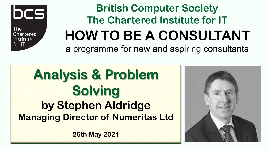

**The Chartered** Institute for  $IT$ 

## **British Computer Society** The Chartered Institute for IT **HOW TO BE A CONSULTANT** a programme for new and aspiring consultants

# **Analysis & Problem Solving** by Stephen Aldridge **Managing Director of Numeritas Ltd**

**26th May 2021** 

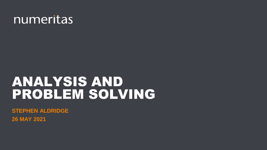

## ANALYSIS AND PROBLEM SOLVING

**STEPHEN ALDRIDGE 26 MAY 2021**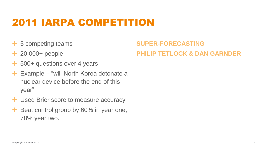## 2011 IARPA COMPETITION

- $\pm$  5 competing teams
- $+$  20,000+ people
- **+** 500+ questions over 4 years
- $\pm$  Example "will North Korea detonate a nuclear device before the end of this year"
- **+ Used Brier score to measure accuracy**
- $\pm$  Beat control group by 60% in year one, 78% year two.

## **SUPER-FORECASTING PHILIP TETLOCK & DAN GARNDER**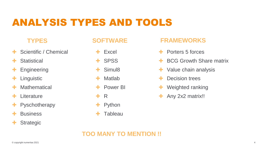## ANALYSIS TYPES AND TOOLS

- **+** Scientific / Chemical
- + Statistical
- + Engineering
- $+$  Linguistic
- Mathematical
- $+$  Literature
- + Pyschotherapy
- **+** Business

#### **+** Strategic

- + Excel
- + SPSS
- Simul8
- + Matlab
- Power BI
- $+ R$
- $+$  Python
- $+$  Tableau

### **TYPES SOFTWARE FRAMEWORKS**

- **+** Porters 5 forces
- $\div$  BCG Growth Share matrix
- **+** Value chain analysis
- **+** Decision trees
- **+** Weighted ranking
- $+$  Any 2x2 matrix!!

#### **TOO MANY TO MENTION !!**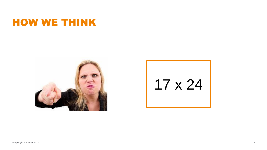## **HOW WE THINK**



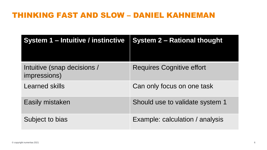### THINKING FAST AND SLOW – DANIEL KAHNEMAN

| System 1 - Intuitive / instinctive                 | <b>System 2 - Rational thought</b> |
|----------------------------------------------------|------------------------------------|
| Intuitive (snap decisions /<br><i>impressions)</i> | <b>Requires Cognitive effort</b>   |
| <b>Learned skills</b>                              | Can only focus on one task         |
| Easily mistaken                                    | Should use to validate system 1    |
| Subject to bias                                    | Example: calculation / analysis    |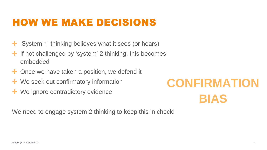## HOW WE MAKE DECISIONS

- 'System 1' thinking believes what it sees (or hears)
- $\pm$  If not challenged by 'system' 2 thinking, this becomes embedded
- **+** Once we have taken a position, we defend it
- **→** We seek out confirmatory information
- **→** We ignore contradictory evidence

## **CONFIRMATION BIAS**

We need to engage system 2 thinking to keep this in check!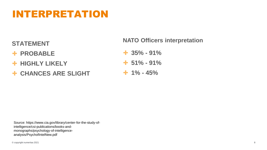## INTERPRETATION

#### **STATEMENT**

- **PROBABLE**
- **+ HIGHLY LIKELY**
- **CHANCES ARE SLIGHT**

#### **NATO Officers interpretation**

 **35% - 91% 51% - 91% 1% - 45%**

Source: https://www.cia.gov/library/center-for-the-study-ofintelligence/csi-publications/books-andmonographs/psychology-of-intelligenceanalysis/PsychofIntelNew.pdf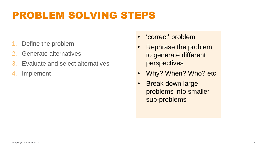## PROBLEM SOLVING STEPS

- 1. Define the problem
- 2. Generate alternatives
- 3. Evaluate and select alternatives
- 4. Implement
- 'correct' problem
- Rephrase the problem to generate different perspectives
- Why? When? Who? etc
- Break down large problems into smaller sub-problems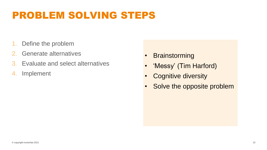## PROBLEM SOLVING STEPS

- 1. Define the problem
- 2. Generate alternatives
- 3. Evaluate and select alternatives
- 4. Implement
- **Brainstorming**
- 'Messy' (Tim Harford)
- Cognitive diversity
- Solve the opposite problem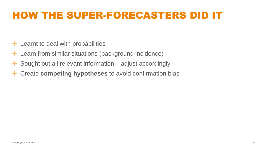## **HOW THE SUPER-FORECASTERS DID IT**

- $\pm$  Learnt to deal with probabilities
- Learn from similar situations (background incidence) ÷.
- Sought out all relevant information adjust accordingly ÷.
- Create competing hypotheses to avoid confirmation bias ÷.